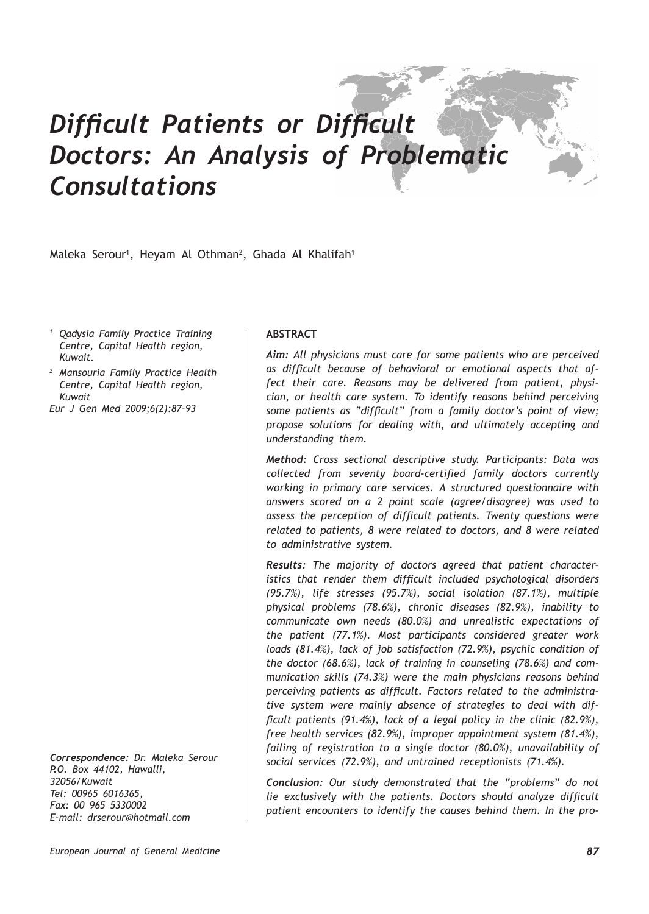# *Difficult Patients or Difficult Doctors: An Analysis of Problematic Consultations*

Maleka Serour<sup>1</sup>, Heyam Al Othman<sup>2</sup>, Ghada Al Khalifah<sup>1</sup>

*<sup>1</sup> Qadysia Family Practice Training Centre, Capital Health region, Kuwait.*

*<sup>2</sup> Mansouria Family Practice Health Centre, Capital Health region, Kuwait*

*Eur J Gen Med 2009;6(2):87-93*

*Correspondence: Dr. Maleka Serour P.O. Box 44102, Hawalli, 32056/Kuwait Tel: 00965 6016365, Fax: 00 965 5330002 E-mail: drserour@hotmail.com*

# **ABSTRACT**

*Aim: All physicians must care for some patients who are perceived as difficult because of behavioral or emotional aspects that affect their care. Reasons may be delivered from patient, physician, or health care system. To identify reasons behind perceiving some patients as "difficult" from a family doctor's point of view; propose solutions for dealing with, and ultimately accepting and understanding them.*

*Method: Cross sectional descriptive study. Participants: Data was collected from seventy board-certified family doctors currently working in primary care services. A structured questionnaire with answers scored on a 2 point scale (agree/disagree) was used to assess the perception of difficult patients. Twenty questions were related to patients, 8 were related to doctors, and 8 were related to administrative system.*

*Results: The majority of doctors agreed that patient characteristics that render them difficult included psychological disorders (95.7%), life stresses (95.7%), social isolation (87.1%), multiple physical problems (78.6%), chronic diseases (82.9%), inability to communicate own needs (80.0%) and unrealistic expectations of the patient (77.1%). Most participants considered greater work loads (81.4%), lack of job satisfaction (72.9%), psychic condition of the doctor (68.6%), lack of training in counseling (78.6%) and communication skills (74.3%) were the main physicians reasons behind perceiving patients as difficult. Factors related to the administrative system were mainly absence of strategies to deal with difficult patients (91.4%), lack of a legal policy in the clinic (82.9%), free health services (82.9%), improper appointment system (81.4%), failing of registration to a single doctor (80.0%), unavailability of social services (72.9%), and untrained receptionists (71.4%).* 

*Conclusion: Our study demonstrated that the "problems" do not lie exclusively with the patients. Doctors should analyze difficult patient encounters to identify the causes behind them. In the pro-*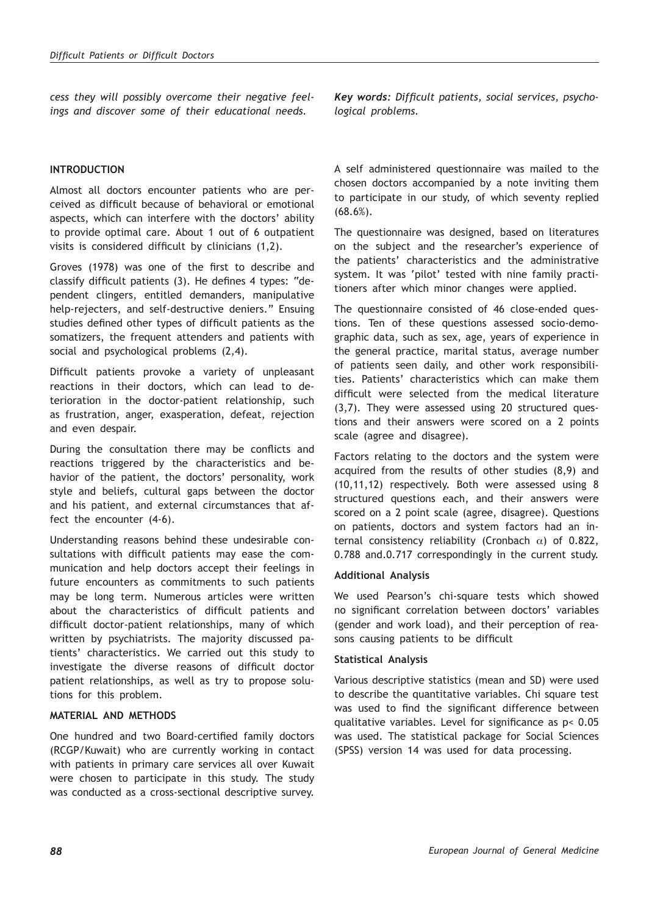*cess they will possibly overcome their negative feelings and discover some of their educational needs.*

# **INTRODUCTION**

Almost all doctors encounter patients who are perceived as difficult because of behavioral or emotional aspects, which can interfere with the doctors' ability to provide optimal care. About 1 out of 6 outpatient visits is considered difficult by clinicians (1,2).

Groves (1978) was one of the first to describe and classify difficult patients (3). He defines 4 types: "dependent clingers, entitled demanders, manipulative help-rejecters, and self-destructive deniers." Ensuing studies defined other types of difficult patients as the somatizers, the frequent attenders and patients with social and psychological problems (2,4).

Difficult patients provoke a variety of unpleasant reactions in their doctors, which can lead to deterioration in the doctor-patient relationship, such as frustration, anger, exasperation, defeat, rejection and even despair.

During the consultation there may be conflicts and reactions triggered by the characteristics and behavior of the patient, the doctors' personality, work style and beliefs, cultural gaps between the doctor and his patient, and external circumstances that affect the encounter (4-6).

Understanding reasons behind these undesirable consultations with difficult patients may ease the communication and help doctors accept their feelings in future encounters as commitments to such patients may be long term. Numerous articles were written about the characteristics of difficult patients and difficult doctor-patient relationships, many of which written by psychiatrists. The majority discussed patients' characteristics. We carried out this study to investigate the diverse reasons of difficult doctor patient relationships, as well as try to propose solutions for this problem.

### **MATERIAL AND METHODS**

One hundred and two Board-certified family doctors (RCGP/Kuwait) who are currently working in contact with patients in primary care services all over Kuwait were chosen to participate in this study. The study was conducted as a cross-sectional descriptive survey. *Key words: Difficult patients, social services, psychological problems.*

A self administered questionnaire was mailed to the chosen doctors accompanied by a note inviting them to participate in our study, of which seventy replied (68.6%).

The questionnaire was designed, based on literatures on the subject and the researcher's experience of the patients' characteristics and the administrative system. It was 'pilot' tested with nine family practitioners after which minor changes were applied.

The questionnaire consisted of 46 close-ended questions. Ten of these questions assessed socio-demographic data, such as sex, age, years of experience in the general practice, marital status, average number of patients seen daily, and other work responsibilities. Patients' characteristics which can make them difficult were selected from the medical literature (3,7). They were assessed using 20 structured questions and their answers were scored on a 2 points scale (agree and disagree).

Factors relating to the doctors and the system were acquired from the results of other studies (8,9) and (10,11,12) respectively. Both were assessed using 8 structured questions each, and their answers were scored on a 2 point scale (agree, disagree). Questions on patients, doctors and system factors had an internal consistency reliability (Cronbach  $\alpha$ ) of 0.822, 0.788 and.0.717 correspondingly in the current study.

### **Additional Analysis**

We used Pearson's chi-square tests which showed no significant correlation between doctors' variables (gender and work load), and their perception of reasons causing patients to be difficult

### **Statistical Analysis**

Various descriptive statistics (mean and SD) were used to describe the quantitative variables. Chi square test was used to find the significant difference between qualitative variables. Level for significance as p< 0.05 was used. The statistical package for Social Sciences (SPSS) version 14 was used for data processing.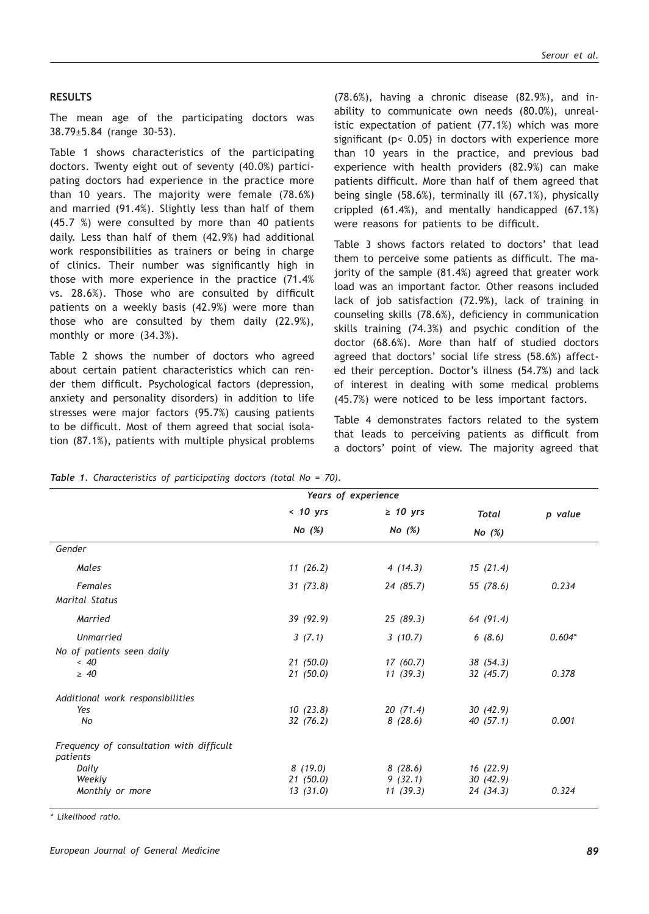### **RESULTS**

The mean age of the participating doctors was 38.79±5.84 (range 30-53).

Table 1 shows characteristics of the participating doctors. Twenty eight out of seventy (40.0%) participating doctors had experience in the practice more than 10 years. The majority were female (78.6%) and married (91.4%). Slightly less than half of them (45.7 %) were consulted by more than 40 patients daily. Less than half of them (42.9%) had additional work responsibilities as trainers or being in charge of clinics. Their number was significantly high in those with more experience in the practice (71.4% vs. 28.6%). Those who are consulted by difficult patients on a weekly basis (42.9%) were more than those who are consulted by them daily (22.9%), monthly or more (34.3%).

Table 2 shows the number of doctors who agreed about certain patient characteristics which can render them difficult. Psychological factors (depression, anxiety and personality disorders) in addition to life stresses were major factors (95.7%) causing patients to be difficult. Most of them agreed that social isolation (87.1%), patients with multiple physical problems

(78.6%), having a chronic disease (82.9%), and inability to communicate own needs (80.0%), unrealistic expectation of patient (77.1%) which was more significant ( $p$ < 0.05) in doctors with experience more than 10 years in the practice, and previous bad experience with health providers (82.9%) can make patients difficult. More than half of them agreed that being single (58.6%), terminally ill (67.1%), physically crippled (61.4%), and mentally handicapped (67.1%) were reasons for patients to be difficult.

Table 3 shows factors related to doctors' that lead them to perceive some patients as difficult. The majority of the sample (81.4%) agreed that greater work load was an important factor. Other reasons included lack of job satisfaction (72.9%), lack of training in counseling skills (78.6%), deficiency in communication skills training (74.3%) and psychic condition of the doctor (68.6%). More than half of studied doctors agreed that doctors' social life stress (58.6%) affected their perception. Doctor's illness (54.7%) and lack of interest in dealing with some medical problems (45.7%) were noticed to be less important factors.

Table 4 demonstrates factors related to the system that leads to perceiving patients as difficult from a doctors' point of view. The majority agreed that

| $\geq 10$ yrs<br>No $(\%)$ | Total<br>No $(\%)$                                                                                                           | p value  |
|----------------------------|------------------------------------------------------------------------------------------------------------------------------|----------|
|                            |                                                                                                                              |          |
|                            |                                                                                                                              |          |
|                            |                                                                                                                              |          |
|                            | 15(21.4)                                                                                                                     |          |
|                            | 55 (78.6)                                                                                                                    | 0.234    |
|                            |                                                                                                                              |          |
|                            | 64 (91.4)                                                                                                                    |          |
|                            | 6(8.6)                                                                                                                       | $0.604*$ |
|                            |                                                                                                                              |          |
|                            | 38(54.3)                                                                                                                     |          |
|                            | 32(45.7)                                                                                                                     | 0.378    |
|                            |                                                                                                                              |          |
|                            | 30(42.9)                                                                                                                     |          |
|                            | 40(57.1)                                                                                                                     | 0.001    |
|                            |                                                                                                                              |          |
|                            | 16(22.9)                                                                                                                     |          |
|                            | 30(42.9)                                                                                                                     |          |
|                            | 24(34.3)                                                                                                                     | 0.324    |
|                            | 4(14.3)<br>24 (85.7)<br>25(89.3)<br>3(10.7)<br>17(60.7)<br>11(39.3)<br>20(71.4)<br>8(28.6)<br>8(28.6)<br>9(32.1)<br>11(39.3) |          |

*Table 1. Characteristics of participating doctors (total No = 70).*

*\* Likelihood ratio.*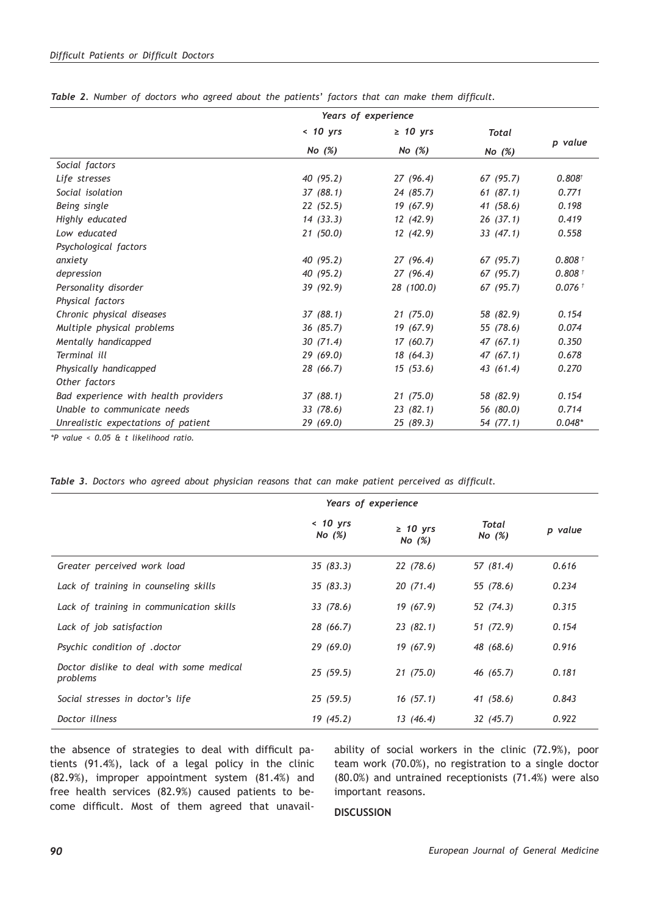|                                      | Years of experience |               |           |                      |
|--------------------------------------|---------------------|---------------|-----------|----------------------|
|                                      | $< 10$ yrs          | $\geq 10$ yrs | Total     |                      |
|                                      | No $(\%)$           | No $(\%)$     | No $(\%)$ | p value              |
| Social factors                       |                     |               |           |                      |
| Life stresses                        | 40(95.2)            | 27(96.4)      | 67 (95.7) | 0.808 <sup>†</sup>   |
| Social isolation                     | 37(88.1)            | 24 (85.7)     | 61(87.1)  | 0.771                |
| Being single                         | 22(52.5)            | 19 (67.9)     | 41 (58.6) | 0.198                |
| Highly educated                      | 14(33.3)            | 12(42.9)      | 26(37.1)  | 0.419                |
| Low educated                         | 21(50.0)            | 12(42.9)      | 33(47.1)  | 0.558                |
| Psychological factors                |                     |               |           |                      |
| anxiety                              | 40(95.2)            | 27(96.4)      | 67 (95.7) | 0.808 <sup>†</sup>   |
| depression                           | 40 (95.2)           | 27(96.4)      | 67 (95.7) | $0.808 +$            |
| Personality disorder                 | 39 (92.9)           | 28 (100.0)    | 67(95.7)  | $0.076$ <sup>t</sup> |
| Physical factors                     |                     |               |           |                      |
| Chronic physical diseases            | 37(88.1)            | 21(75.0)      | 58 (82.9) | 0.154                |
| Multiple physical problems           | 36(85.7)            | 19 (67.9)     | 55 (78.6) | 0.074                |
| Mentally handicapped                 | 30(71.4)            | 17(60.7)      | 47(67.1)  | 0.350                |
| Terminal ill                         | 29(69.0)            | 18(64.3)      | 47(67.1)  | 0.678                |
| Physically handicapped               | 28 (66.7)           | 15(53.6)      | 43 (61.4) | 0.270                |
| Other factors                        |                     |               |           |                      |
| Bad experience with health providers | 37(88.1)            | 21(75.0)      | 58 (82.9) | 0.154                |
| Unable to communicate needs          | 33 (78.6)           | 23(82.1)      | 56 (80.0) | 0.714                |
| Unrealistic expectations of patient  | 29 (69.0)           | 25 (89.3)     | 54 (77.1) | $0.048*$             |

*Table 2. Number of doctors who agreed about the patients' factors that can make them difficult.*

*\*P value < 0.05 & t likelihood ratio.*

*Table 3. Doctors who agreed about physician reasons that can make patient perceived as difficult.*

|                                                      | Years of experience     |                            |                   |         |
|------------------------------------------------------|-------------------------|----------------------------|-------------------|---------|
|                                                      | $< 10$ yrs<br>No $(\%)$ | $\geq 10$ yrs<br>No $(\%)$ | Total<br>No $(%)$ | p value |
| Greater perceived work load                          | 35(83.3)                | 22 (78.6)                  | 57 (81.4)         | 0.616   |
| Lack of training in counseling skills                | 35(83.3)                | 20(71.4)                   | 55 (78.6)         | 0.234   |
| Lack of training in communication skills             | 33(78.6)                | 19(67.9)                   | 52 (74.3)         | 0.315   |
| Lack of job satisfaction                             | 28 (66.7)               | 23(82.1)                   | 51 (72.9)         | 0.154   |
| Psychic condition of .doctor                         | 29(69.0)                | 19(67.9)                   | 48 (68.6)         | 0.916   |
| Doctor dislike to deal with some medical<br>problems | 25(59.5)                | 21(75.0)                   | 46 (65.7)         | 0.181   |
| Social stresses in doctor's life                     | 25(59.5)                | 16(57.1)                   | 41 (58.6)         | 0.843   |
| Doctor illness                                       | 19(45.2)                | 13 (46.4)                  | 32 (45.7)         | 0.922   |

the absence of strategies to deal with difficult patients (91.4%), lack of a legal policy in the clinic (82.9%), improper appointment system (81.4%) and free health services (82.9%) caused patients to become difficult. Most of them agreed that unavailability of social workers in the clinic (72.9%), poor team work (70.0%), no registration to a single doctor (80.0%) and untrained receptionists (71.4%) were also important reasons.

### **DISCUSSION**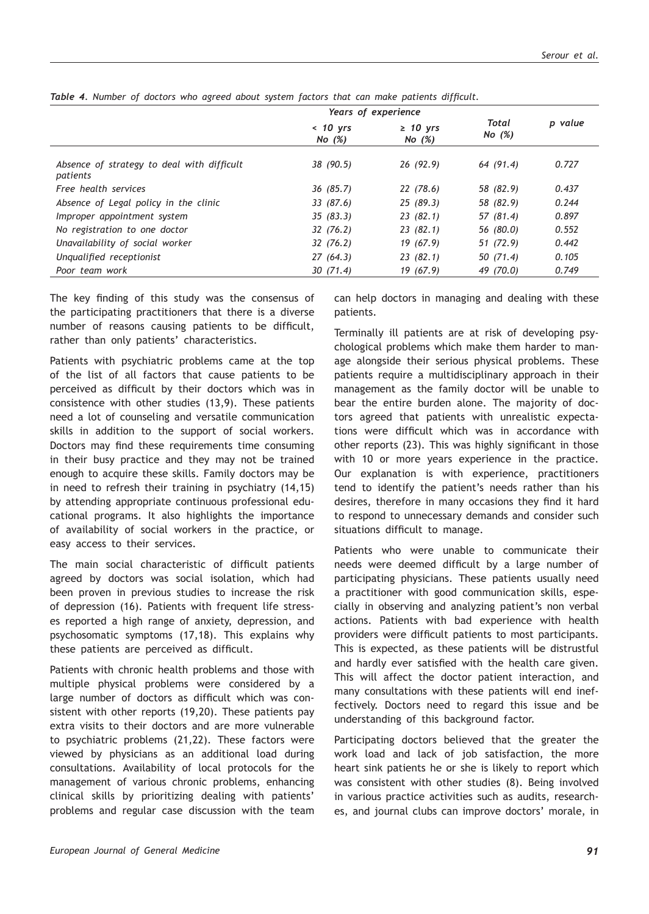|                                                        | Years of experience    |                           |                   |         |
|--------------------------------------------------------|------------------------|---------------------------|-------------------|---------|
|                                                        | $< 10$ yrs<br>No $(%)$ | $\geq$ 10 yrs<br>No $(%)$ | Total<br>No $(%)$ | p value |
| Absence of strategy to deal with difficult<br>patients | 38 (90.5)              | 26(92.9)                  | 64 (91.4)         | 0.727   |
| Free health services                                   | 36(85.7)               | 22(78.6)                  | 58 (82.9)         | 0.437   |
| Absence of Legal policy in the clinic                  | 33(87.6)               | 25(89.3)                  | 58 (82.9)         | 0.244   |
| Improper appointment system                            | 35(83.3)               | 23(82.1)                  | 57 (81.4)         | 0.897   |
| No registration to one doctor                          | 32(76.2)               | 23(82.1)                  | 56 (80.0)         | 0.552   |
| Unavailability of social worker                        | 32(76.2)               | 19(67.9)                  | 51 (72.9)         | 0.442   |
| Unqualified receptionist                               | 27(64.3)               | 23(82.1)                  | 50(71.4)          | 0.105   |
| Poor team work                                         | 30(71.4)               | 19(67.9)                  | 49 (70.0)         | 0.749   |

*Table 4. Number of doctors who agreed about system factors that can make patients difficult.*

The key finding of this study was the consensus of the participating practitioners that there is a diverse number of reasons causing patients to be difficult, rather than only patients' characteristics.

Patients with psychiatric problems came at the top of the list of all factors that cause patients to be perceived as difficult by their doctors which was in consistence with other studies (13,9). These patients need a lot of counseling and versatile communication skills in addition to the support of social workers. Doctors may find these requirements time consuming in their busy practice and they may not be trained enough to acquire these skills. Family doctors may be in need to refresh their training in psychiatry (14,15) by attending appropriate continuous professional educational programs. It also highlights the importance of availability of social workers in the practice, or easy access to their services.

The main social characteristic of difficult patients agreed by doctors was social isolation, which had been proven in previous studies to increase the risk of depression (16). Patients with frequent life stresses reported a high range of anxiety, depression, and psychosomatic symptoms (17,18). This explains why these patients are perceived as difficult.

Patients with chronic health problems and those with multiple physical problems were considered by a large number of doctors as difficult which was consistent with other reports (19,20). These patients pay extra visits to their doctors and are more vulnerable to psychiatric problems (21,22). These factors were viewed by physicians as an additional load during consultations. Availability of local protocols for the management of various chronic problems, enhancing clinical skills by prioritizing dealing with patients' problems and regular case discussion with the team can help doctors in managing and dealing with these patients.

Terminally ill patients are at risk of developing psychological problems which make them harder to manage alongside their serious physical problems. These patients require a multidisciplinary approach in their management as the family doctor will be unable to bear the entire burden alone. The majority of doctors agreed that patients with unrealistic expectations were difficult which was in accordance with other reports (23). This was highly significant in those with 10 or more years experience in the practice. Our explanation is with experience, practitioners tend to identify the patient's needs rather than his desires, therefore in many occasions they find it hard to respond to unnecessary demands and consider such situations difficult to manage.

Patients who were unable to communicate their needs were deemed difficult by a large number of participating physicians. These patients usually need a practitioner with good communication skills, especially in observing and analyzing patient's non verbal actions. Patients with bad experience with health providers were difficult patients to most participants. This is expected, as these patients will be distrustful and hardly ever satisfied with the health care given. This will affect the doctor patient interaction, and many consultations with these patients will end ineffectively. Doctors need to regard this issue and be understanding of this background factor.

Participating doctors believed that the greater the work load and lack of job satisfaction, the more heart sink patients he or she is likely to report which was consistent with other studies (8). Being involved in various practice activities such as audits, researches, and journal clubs can improve doctors' morale, in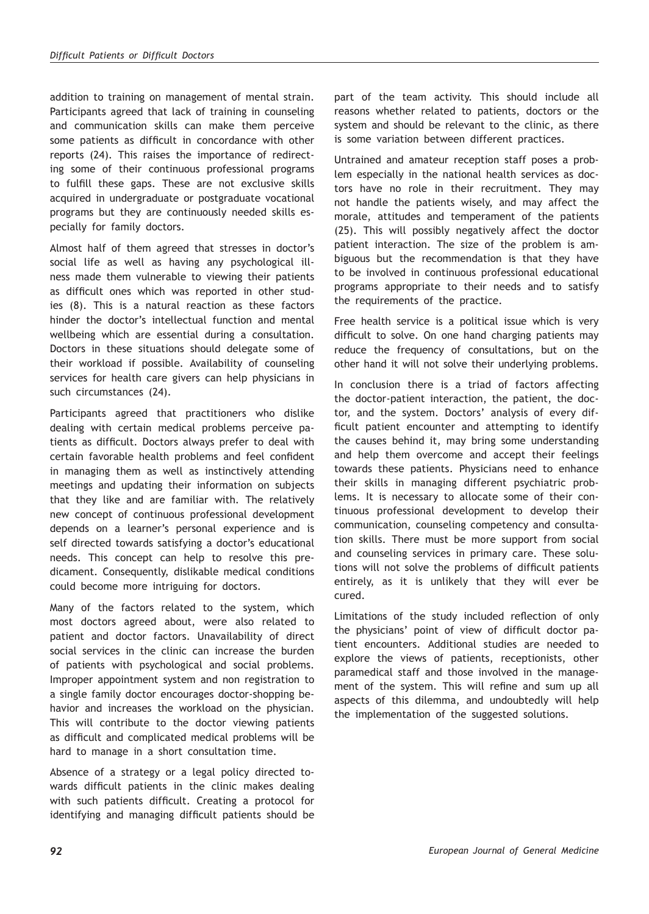addition to training on management of mental strain. Participants agreed that lack of training in counseling and communication skills can make them perceive some patients as difficult in concordance with other reports (24). This raises the importance of redirecting some of their continuous professional programs to fulfill these gaps. These are not exclusive skills acquired in undergraduate or postgraduate vocational programs but they are continuously needed skills especially for family doctors.

Almost half of them agreed that stresses in doctor's social life as well as having any psychological illness made them vulnerable to viewing their patients as difficult ones which was reported in other studies (8). This is a natural reaction as these factors hinder the doctor's intellectual function and mental wellbeing which are essential during a consultation. Doctors in these situations should delegate some of their workload if possible. Availability of counseling services for health care givers can help physicians in such circumstances (24).

Participants agreed that practitioners who dislike dealing with certain medical problems perceive patients as difficult. Doctors always prefer to deal with certain favorable health problems and feel confident in managing them as well as instinctively attending meetings and updating their information on subjects that they like and are familiar with. The relatively new concept of continuous professional development depends on a learner's personal experience and is self directed towards satisfying a doctor's educational needs. This concept can help to resolve this predicament. Consequently, dislikable medical conditions could become more intriguing for doctors.

Many of the factors related to the system, which most doctors agreed about, were also related to patient and doctor factors. Unavailability of direct social services in the clinic can increase the burden of patients with psychological and social problems. Improper appointment system and non registration to a single family doctor encourages doctor-shopping behavior and increases the workload on the physician. This will contribute to the doctor viewing patients as difficult and complicated medical problems will be hard to manage in a short consultation time.

Absence of a strategy or a legal policy directed towards difficult patients in the clinic makes dealing with such patients difficult. Creating a protocol for identifying and managing difficult patients should be part of the team activity. This should include all reasons whether related to patients, doctors or the system and should be relevant to the clinic, as there is some variation between different practices.

Untrained and amateur reception staff poses a problem especially in the national health services as doctors have no role in their recruitment. They may not handle the patients wisely, and may affect the morale, attitudes and temperament of the patients (25). This will possibly negatively affect the doctor patient interaction. The size of the problem is ambiguous but the recommendation is that they have to be involved in continuous professional educational programs appropriate to their needs and to satisfy the requirements of the practice.

Free health service is a political issue which is very difficult to solve. On one hand charging patients may reduce the frequency of consultations, but on the other hand it will not solve their underlying problems.

In conclusion there is a triad of factors affecting the doctor-patient interaction, the patient, the doctor, and the system. Doctors' analysis of every difficult patient encounter and attempting to identify the causes behind it, may bring some understanding and help them overcome and accept their feelings towards these patients. Physicians need to enhance their skills in managing different psychiatric problems. It is necessary to allocate some of their continuous professional development to develop their communication, counseling competency and consultation skills. There must be more support from social and counseling services in primary care. These solutions will not solve the problems of difficult patients entirely, as it is unlikely that they will ever be cured.

Limitations of the study included reflection of only the physicians' point of view of difficult doctor patient encounters. Additional studies are needed to explore the views of patients, receptionists, other paramedical staff and those involved in the management of the system. This will refine and sum up all aspects of this dilemma, and undoubtedly will help the implementation of the suggested solutions.